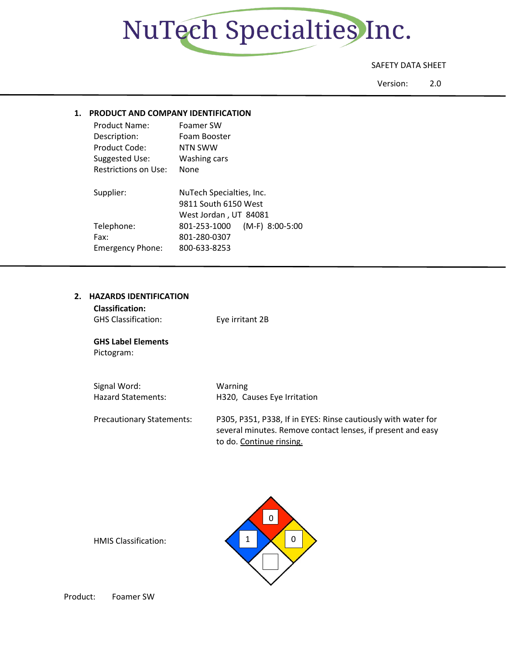

# SAFETY DATA SHEET

Version: 2.0

# **1. PRODUCT AND COMPANY IDENTIFICATION**

| <b>Product Name:</b>        | Foamer SW                       |
|-----------------------------|---------------------------------|
| Description:                | Foam Booster                    |
| Product Code:               | NTN SWW                         |
| Suggested Use:              | Washing cars                    |
| <b>Restrictions on Use:</b> | None                            |
| Supplier:                   | NuTech Specialties, Inc.        |
|                             | 9811 South 6150 West            |
|                             | West Jordan, UT 84081           |
| Telephone:                  | (M-F) 8:00-5:00<br>801-253-1000 |
| Fax:                        | 801-280-0307                    |

#### **2. HAZARDS IDENTIFICATION**

| <b>Classification:</b>     |                 |
|----------------------------|-----------------|
| <b>GHS Classification:</b> | Eye irritant 2B |

Emergency Phone: 800-633-8253

**GHS Label Elements** Pictogram:

| Signal Word:                     | Warning                                                                                                                                                  |
|----------------------------------|----------------------------------------------------------------------------------------------------------------------------------------------------------|
| <b>Hazard Statements:</b>        | H320, Causes Eye Irritation                                                                                                                              |
| <b>Precautionary Statements:</b> | P305, P351, P338, If in EYES: Rinse cautiously with water for<br>several minutes. Remove contact lenses, if present and easy<br>to do. Continue rinsing. |



HMIS Classification: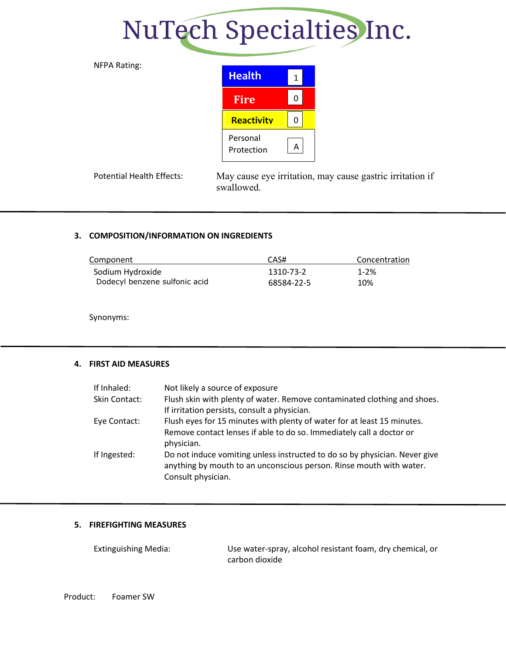# NuTech Specialties Inc.



# **3. COMPOSITION/INFORMATION ON INGREDIENTS**

| Component                     | CAS#       | Concentration |
|-------------------------------|------------|---------------|
| Sodium Hydroxide              | 1310-73-2  | 1-2%          |
| Dodecyl benzene sulfonic acid | 68584-22-5 | 10%           |

Synonyms:

# **4. FIRST AID MEASURES**

| If Inhaled:   | Not likely a source of exposure                                                                                                                   |
|---------------|---------------------------------------------------------------------------------------------------------------------------------------------------|
| Skin Contact: | Flush skin with plenty of water. Remove contaminated clothing and shoes.                                                                          |
|               | If irritation persists, consult a physician.                                                                                                      |
| Eye Contact:  | Flush eyes for 15 minutes with plenty of water for at least 15 minutes.                                                                           |
|               | Remove contact lenses if able to do so. Immediately call a doctor or<br>physician.                                                                |
| If Ingested:  | Do not induce vomiting unless instructed to do so by physician. Never give<br>anything by mouth to an unconscious person. Rinse mouth with water. |
|               | Consult physician.                                                                                                                                |

# **5. FIREFIGHTING MEASURES**

| <b>Extinguishing Media:</b> | Use water-spray, alcohol resistant foam, dry chemical, or |
|-----------------------------|-----------------------------------------------------------|
|                             | carbon dioxide                                            |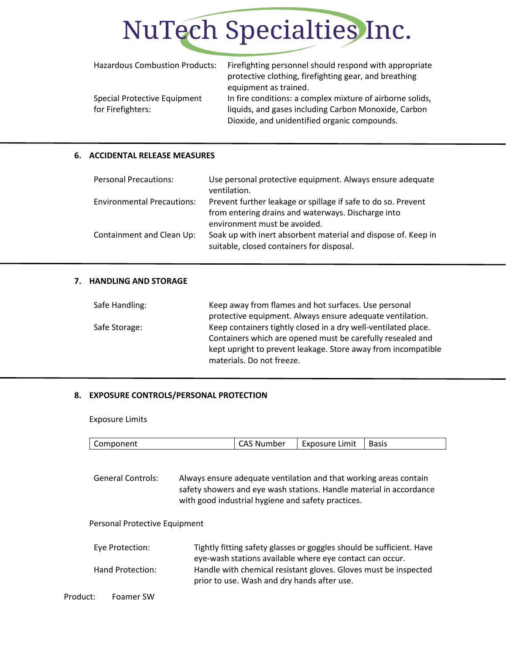

| <b>Hazardous Combustion Products:</b> | Firefighting personnel should respond with appropriate<br>protective clothing, firefighting gear, and breathing |
|---------------------------------------|-----------------------------------------------------------------------------------------------------------------|
|                                       | equipment as trained.                                                                                           |
| Special Protective Equipment          | In fire conditions: a complex mixture of airborne solids,                                                       |
| for Firefighters:                     | liquids, and gases including Carbon Monoxide, Carbon                                                            |
|                                       | Dioxide, and unidentified organic compounds.                                                                    |

# **6. ACCIDENTAL RELEASE MEASURES**

| <b>Personal Precautions:</b>      | Use personal protective equipment. Always ensure adequate<br>ventilation.                                                                           |
|-----------------------------------|-----------------------------------------------------------------------------------------------------------------------------------------------------|
| <b>Environmental Precautions:</b> | Prevent further leakage or spillage if safe to do so. Prevent<br>from entering drains and waterways. Discharge into<br>environment must be avoided. |
| Containment and Clean Up:         | Soak up with inert absorbent material and dispose of. Keep in<br>suitable, closed containers for disposal.                                          |

#### **7. HANDLING AND STORAGE**

| Safe Handling: | Keep away from flames and hot surfaces. Use personal<br>protective equipment. Always ensure adequate ventilation.                                                                                                          |
|----------------|----------------------------------------------------------------------------------------------------------------------------------------------------------------------------------------------------------------------------|
| Safe Storage:  | Keep containers tightly closed in a dry well-ventilated place.<br>Containers which are opened must be carefully resealed and<br>kept upright to prevent leakage. Store away from incompatible<br>materials. Do not freeze. |

#### **8. EXPOSURE CONTROLS/PERSONAL PROTECTION**

Exposure Limits

General Controls: Always ensure adequate ventilation and that working areas contain safety showers and eye wash stations. Handle material in accordance with good industrial hygiene and safety practices.

#### Personal Protective Equipment

| Eve Protection:  | Tightly fitting safety glasses or goggles should be sufficient. Have |
|------------------|----------------------------------------------------------------------|
|                  | eye-wash stations available where eye contact can occur.             |
| Hand Protection: | Handle with chemical resistant gloves. Gloves must be inspected      |
|                  | prior to use. Wash and dry hands after use.                          |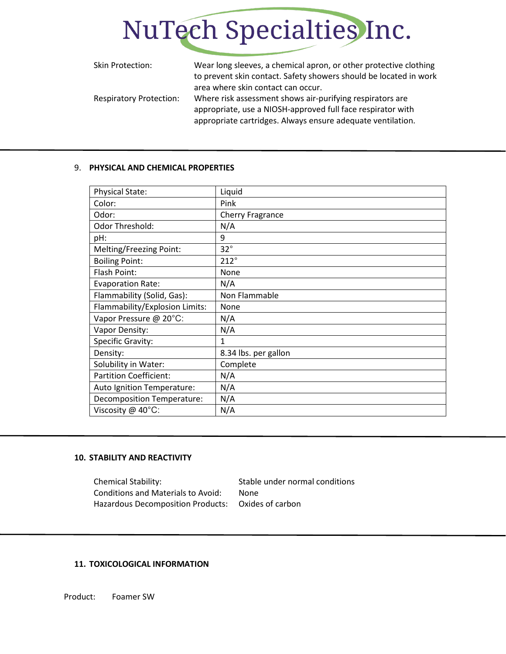

| Skin Protection:               | Wear long sleeves, a chemical apron, or other protective clothing<br>to prevent skin contact. Safety showers should be located in work<br>area where skin contact can occur.            |
|--------------------------------|-----------------------------------------------------------------------------------------------------------------------------------------------------------------------------------------|
| <b>Respiratory Protection:</b> | Where risk assessment shows air-purifying respirators are<br>appropriate, use a NIOSH-approved full face respirator with<br>appropriate cartridges. Always ensure adequate ventilation. |

#### 9. **PHYSICAL AND CHEMICAL PROPERTIES**

| Physical State:                   | Liquid               |
|-----------------------------------|----------------------|
| Color:                            | Pink                 |
| Odor:                             | Cherry Fragrance     |
| Odor Threshold:                   | N/A                  |
| pH:                               | 9                    |
| Melting/Freezing Point:           | $32^{\circ}$         |
| <b>Boiling Point:</b>             | $212^\circ$          |
| Flash Point:                      | None                 |
| <b>Evaporation Rate:</b>          | N/A                  |
| Flammability (Solid, Gas):        | Non Flammable        |
| Flammability/Explosion Limits:    | None                 |
| Vapor Pressure @ 20°C:            | N/A                  |
| Vapor Density:                    | N/A                  |
| Specific Gravity:                 | 1                    |
| Density:                          | 8.34 lbs. per gallon |
| Solubility in Water:              | Complete             |
| <b>Partition Coefficient:</b>     | N/A                  |
| Auto Ignition Temperature:        | N/A                  |
| <b>Decomposition Temperature:</b> | N/A                  |
| Viscosity @ 40°C:                 | N/A                  |

#### **10. STABILITY AND REACTIVITY**

Chemical Stability: Stable under normal conditions Conditions and Materials to Avoid: None Hazardous Decomposition Products: Oxides of carbon

#### **11. TOXICOLOGICAL INFORMATION**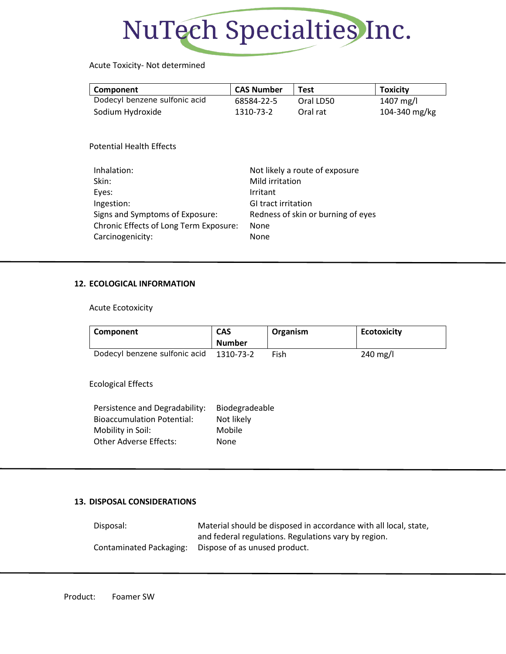

# Acute Toxicity- Not determined

| Component                                               | <b>CAS Number</b>          | <b>Test</b>                        | <b>Toxicity</b> |
|---------------------------------------------------------|----------------------------|------------------------------------|-----------------|
| Dodecyl benzene sulfonic acid                           | 68584-22-5                 | Oral LD50                          | 1407 mg/l       |
| Sodium Hydroxide                                        | 1310-73-2                  | Oral rat                           | 104-340 mg/kg   |
| <b>Potential Health Effects</b><br>Inhalation:<br>Skin: | Mild irritation            | Not likely a route of exposure     |                 |
| Eyes:                                                   | Irritant                   |                                    |                 |
| Ingestion:                                              | <b>GI tract irritation</b> |                                    |                 |
| Signs and Symptoms of Exposure:                         |                            | Redness of skin or burning of eyes |                 |
| Chronic Effects of Long Term Exposure:                  | None                       |                                    |                 |
| Carcinogenicity:                                        | None                       |                                    |                 |

#### **12. ECOLOGICAL INFORMATION**

Acute Ecotoxicity

| Component                                                                                | <b>CAS</b>                             | Organism | <b>Ecotoxicity</b> |
|------------------------------------------------------------------------------------------|----------------------------------------|----------|--------------------|
|                                                                                          | <b>Number</b>                          |          |                    |
| Dodecyl benzene sulfonic acid                                                            | 1310-73-2                              | Fish     | 240 mg/l           |
| <b>Ecological Effects</b>                                                                |                                        |          |                    |
| Persistence and Degradability:<br><b>Bioaccumulation Potential:</b><br>Mobility in Soil: | Biodegradeable<br>Not likely<br>Mobile |          |                    |
|                                                                                          |                                        |          |                    |
| <b>Other Adverse Effects:</b>                                                            | <b>None</b>                            |          |                    |

# **13. DISPOSAL CONSIDERATIONS**

| Disposal:               | Material should be disposed in accordance with all local, state, |
|-------------------------|------------------------------------------------------------------|
|                         | and federal regulations. Regulations vary by region.             |
| Contaminated Packaging: | Dispose of as unused product.                                    |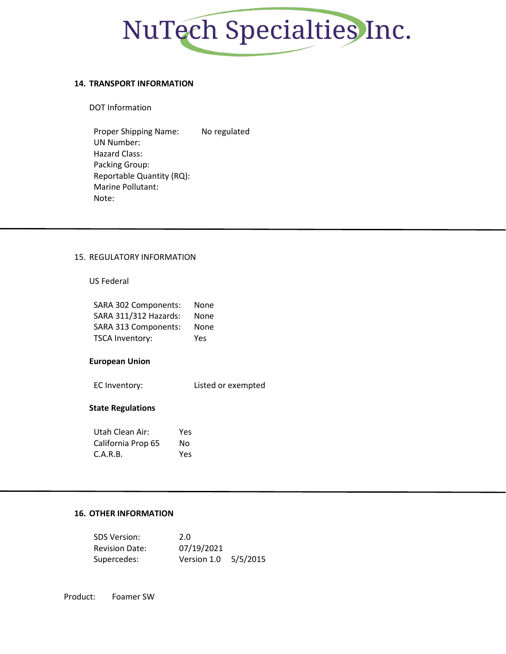

#### **14. TRANSPORT INFORMATION**

DOT Information

Proper Shipping Name: No regulated UN Number: Hazard Class: Packing Group: Reportable Quantity (RQ): Marine Pollutant: Note:

#### 15. REGULATORY INFORMATION

#### US Federal

| SARA 302 Components:        | None |
|-----------------------------|------|
| SARA 311/312 Hazards:       | None |
| <b>SARA 313 Components:</b> | None |
| <b>TSCA Inventory:</b>      | Yes  |

#### **European Union**

EC Inventory: Listed or exempted

#### **State Regulations**

| Utah Clean Air:    | Yes |
|--------------------|-----|
| California Prop 65 | N٥  |
| C.A.R.B.           | Yes |

# **16. OTHER INFORMATION**

| <b>SDS Version:</b>   | 2.0                  |  |
|-----------------------|----------------------|--|
| <b>Revision Date:</b> | 07/19/2021           |  |
| Supercedes:           | Version 1.0 5/5/2015 |  |